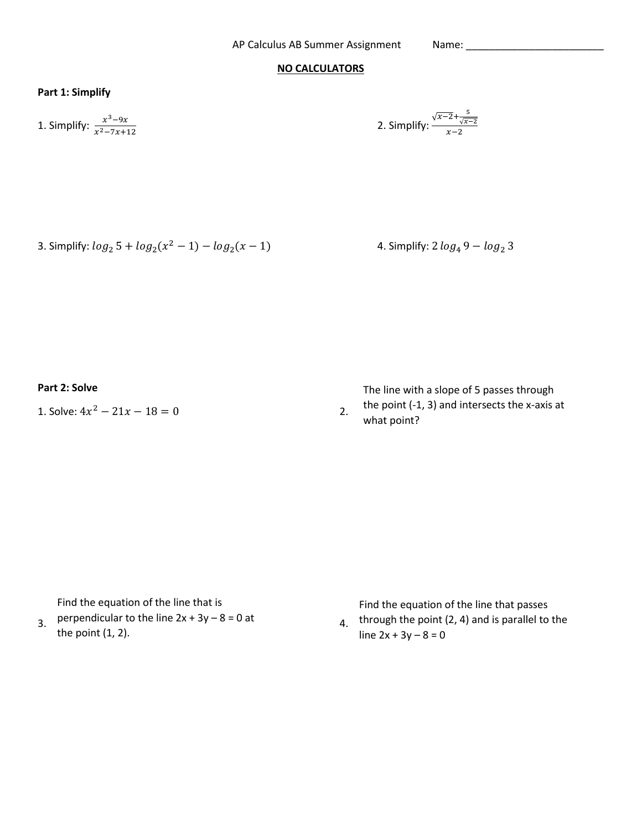## **NO CALCULATORS**

## **Part 1: Simplify**

1. Simplify:  $\frac{x^3-9x}{x^2-7x}$  $x^2 - 7x + 12$ 

2. Simplify: 
$$
\frac{\sqrt{x-2} + \frac{5}{\sqrt{x-2}}}{x-2}
$$

3. Simplify:  $log_2 5 + log_2(x^2 - 1) - log_2$ 

4. Simplify:  $2 log_4 9 - log_2 3$ 

**Part 2: Solve**

1. Solve:  $4x^2 - 21x - 18 = 0$  2.

The line with a slope of 5 passes through

the point (-1, 3) and intersects the x-axis at what point?

Find the equation of the line that is

3. perpendicular to the line  $2x + 3y - 8 = 0$  at 4.

the point (1, 2).

Find the equation of the line that passes 4. through the point  $(2, 4)$  and is parallel to the

line  $2x + 3y - 8 = 0$